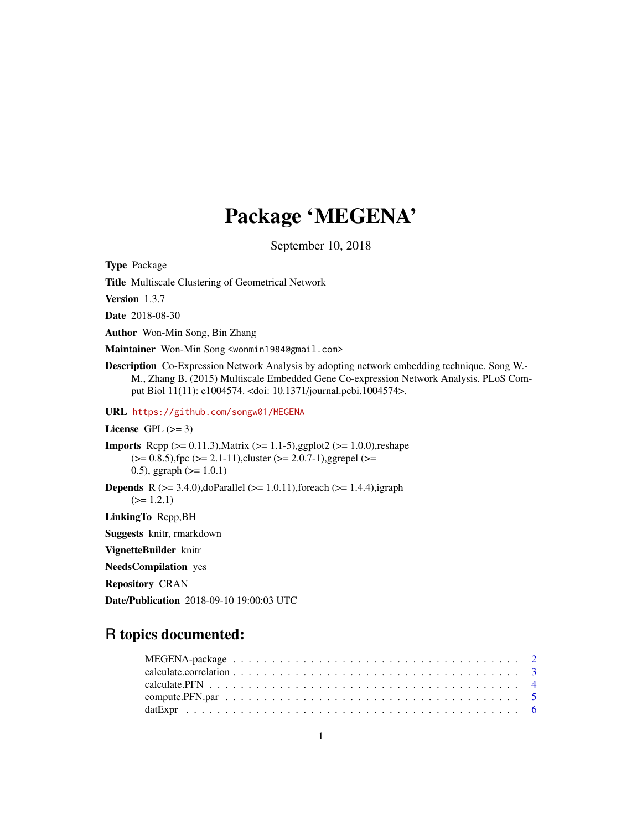# Package 'MEGENA'

September 10, 2018

Type Package Title Multiscale Clustering of Geometrical Network Version 1.3.7 Date 2018-08-30 Author Won-Min Song, Bin Zhang Maintainer Won-Min Song <wonmin1984@gmail.com> Description Co-Expression Network Analysis by adopting network embedding technique. Song W.- M., Zhang B. (2015) Multiscale Embedded Gene Co-expression Network Analysis. PLoS Comput Biol 11(11): e1004574. <doi: 10.1371/journal.pcbi.1004574>. URL <https://github.com/songw01/MEGENA> License GPL  $(>= 3)$ **Imports** Rcpp  $(>= 0.11.3)$ , Matrix  $(>= 1.1-5)$ , ggplot2  $(>= 1.0.0)$ , reshape  $(>= 0.8.5)$ , fpc  $(>= 2.1-11)$ , cluster  $(>= 2.0.7-1)$ , ggrepel  $(>= 1.1-11)$ 0.5), ggraph  $(>= 1.0.1)$ **Depends** R ( $>= 3.4.0$ ),doParallel ( $>= 1.0.11$ ),foreach ( $>= 1.4.4$ ),igraph  $(>= 1.2.1)$ LinkingTo Rcpp,BH Suggests knitr, rmarkdown VignetteBuilder knitr NeedsCompilation yes

Repository CRAN

Date/Publication 2018-09-10 19:00:03 UTC

# R topics documented:

| compute. PFN. par $\ldots \ldots \ldots \ldots \ldots \ldots \ldots \ldots \ldots \ldots \ldots \ldots \ldots$ |  |  |  |  |  |  |  |  |  |  |  |  |  |  |  |  |  |
|----------------------------------------------------------------------------------------------------------------|--|--|--|--|--|--|--|--|--|--|--|--|--|--|--|--|--|
|                                                                                                                |  |  |  |  |  |  |  |  |  |  |  |  |  |  |  |  |  |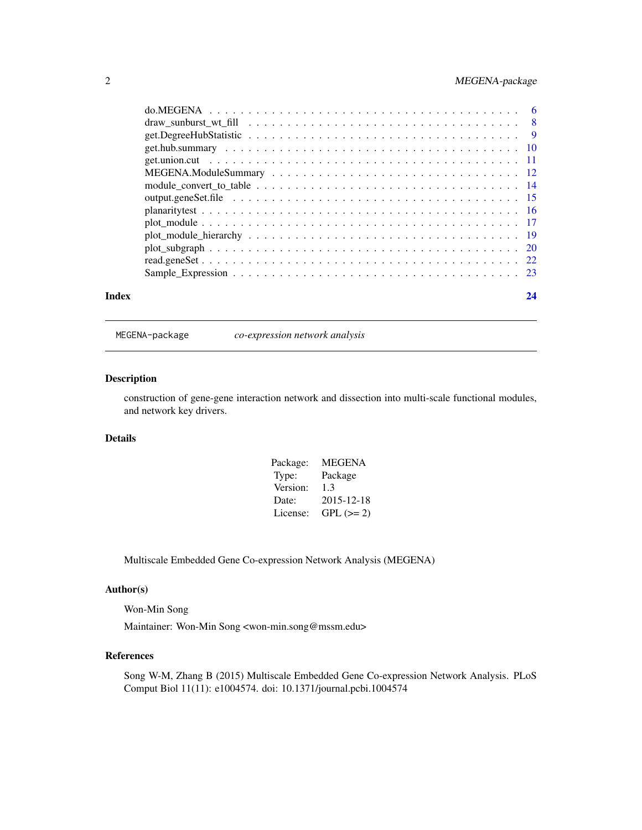# <span id="page-1-0"></span>2 MEGENA-package

| Index | 24 |
|-------|----|
|       |    |
|       |    |
|       |    |
|       |    |
|       |    |
|       |    |
|       |    |
|       |    |
|       |    |
|       |    |
|       |    |
|       |    |
|       |    |
|       |    |

MEGENA-package *co-expression network analysis*

#### Description

construction of gene-gene interaction network and dissection into multi-scale functional modules, and network key drivers.

# Details

| Package: | <b>MEGENA</b> |
|----------|---------------|
| Type:    | Package       |
| Version: | 1.3           |
| Date:    | 2015-12-18    |
| License: | $GPL (=2)$    |

Multiscale Embedded Gene Co-expression Network Analysis (MEGENA)

#### Author(s)

Won-Min Song

Maintainer: Won-Min Song <won-min.song@mssm.edu>

#### References

Song W-M, Zhang B (2015) Multiscale Embedded Gene Co-expression Network Analysis. PLoS Comput Biol 11(11): e1004574. doi: 10.1371/journal.pcbi.1004574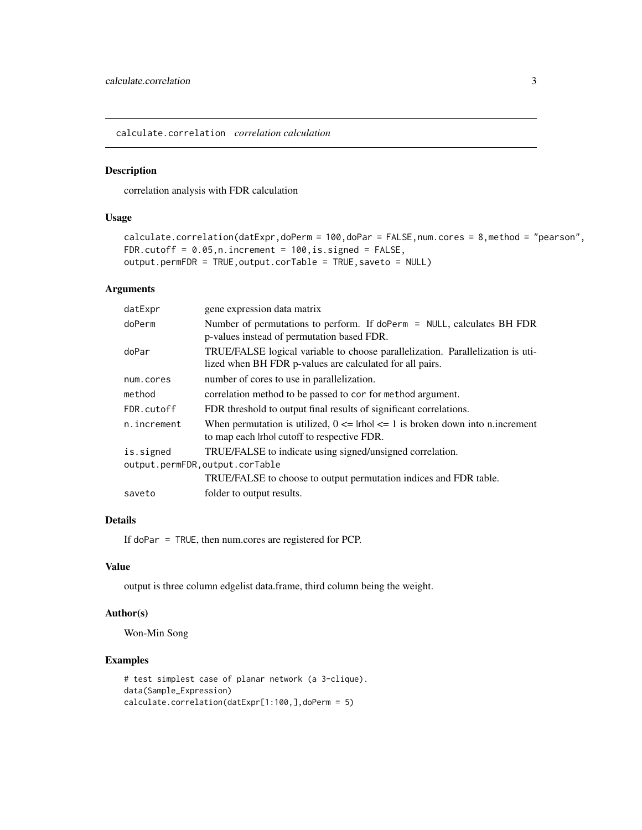<span id="page-2-0"></span>calculate.correlation *correlation calculation*

#### Description

correlation analysis with FDR calculation

#### Usage

```
calculate.correlation(datExpr,doPerm = 100,doPar = FALSE,num.cores = 8,method = "pearson",
FDR.cutoff = 0.05, n.increment = 100, is.signed = FALSE,
output.permFDR = TRUE,output.corTable = TRUE,saveto = NULL)
```
#### Arguments

| gene expression data matrix                                                                                                                |
|--------------------------------------------------------------------------------------------------------------------------------------------|
| Number of permutations to perform. If doPerm = NULL, calculates BH FDR<br>p-values instead of permutation based FDR.                       |
| TRUE/FALSE logical variable to choose parallelization. Parallelization is uti-<br>lized when BH FDR p-values are calculated for all pairs. |
| number of cores to use in parallelization.                                                                                                 |
| correlation method to be passed to cor for method argument.                                                                                |
| FDR threshold to output final results of significant correlations.                                                                         |
| When permutation is utilized, $0 \le$ lrhol $\le$ 1 is broken down into n increment<br>to map each line cutoff to respective FDR.          |
| TRUE/FALSE to indicate using signed/unsigned correlation.                                                                                  |
| output.permFDR.output.corTable                                                                                                             |
| TRUE/FALSE to choose to output permutation indices and FDR table.                                                                          |
| folder to output results.                                                                                                                  |
|                                                                                                                                            |

# Details

If doPar = TRUE, then num.cores are registered for PCP.

#### Value

output is three column edgelist data.frame, third column being the weight.

#### Author(s)

Won-Min Song

#### Examples

```
# test simplest case of planar network (a 3-clique).
data(Sample_Expression)
calculate.correlation(datExpr[1:100,],doPerm = 5)
```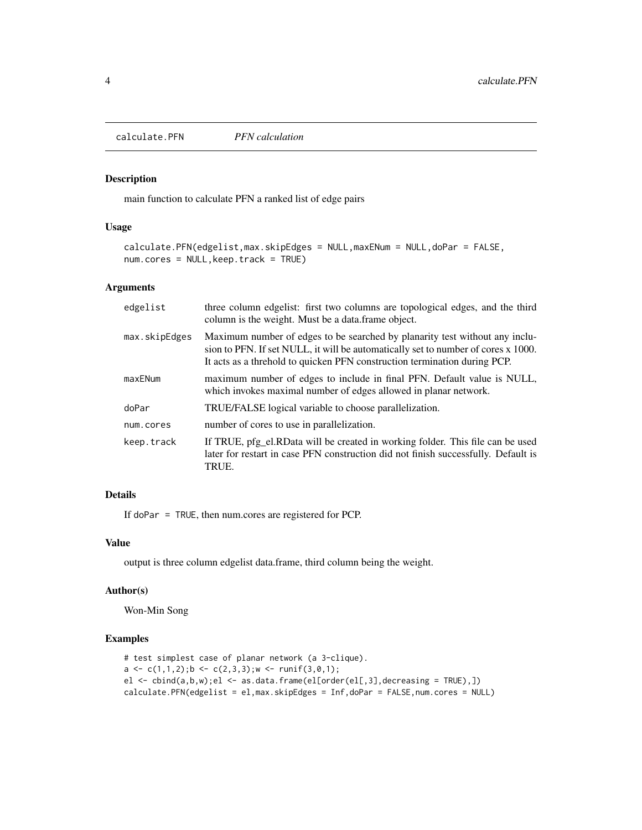<span id="page-3-0"></span>calculate.PFN *PFN calculation*

#### Description

main function to calculate PFN a ranked list of edge pairs

#### Usage

```
calculate.PFN(edgelist,max.skipEdges = NULL,maxENum = NULL,doPar = FALSE,
num.cores = NULL,keep.track = TRUE)
```
#### Arguments

| edgelist      | three column edgelist: first two columns are topological edges, and the third<br>column is the weight. Must be a data.frame object.                                                                                                           |
|---------------|-----------------------------------------------------------------------------------------------------------------------------------------------------------------------------------------------------------------------------------------------|
| max.skipEdges | Maximum number of edges to be searched by planarity test without any inclu-<br>sion to PFN. If set NULL, it will be automatically set to number of cores x 1000.<br>It acts as a threhold to quicken PFN construction termination during PCP. |
| maxENum       | maximum number of edges to include in final PFN. Default value is NULL,<br>which invokes maximal number of edges allowed in planar network.                                                                                                   |
| doPar         | TRUE/FALSE logical variable to choose parallelization.                                                                                                                                                                                        |
| num.cores     | number of cores to use in parallelization.                                                                                                                                                                                                    |
| keep.track    | If TRUE, pfg_el.RData will be created in working folder. This file can be used<br>later for restart in case PFN construction did not finish successfully. Default is<br>TRUE.                                                                 |

#### Details

If doPar = TRUE, then num.cores are registered for PCP.

### Value

output is three column edgelist data.frame, third column being the weight.

#### Author(s)

Won-Min Song

# Examples

```
# test simplest case of planar network (a 3-clique).
a \leftarrow c(1,1,2); b \leftarrow c(2,3,3); w \leftarrow runif(3,0,1);el <- cbind(a,b,w);el <- as.data.frame(el[order(el[,3],decreasing = TRUE),])
calculate.PFN(edgelist = el,max.skipEdges = Inf,doPar = FALSE,num.cores = NULL)
```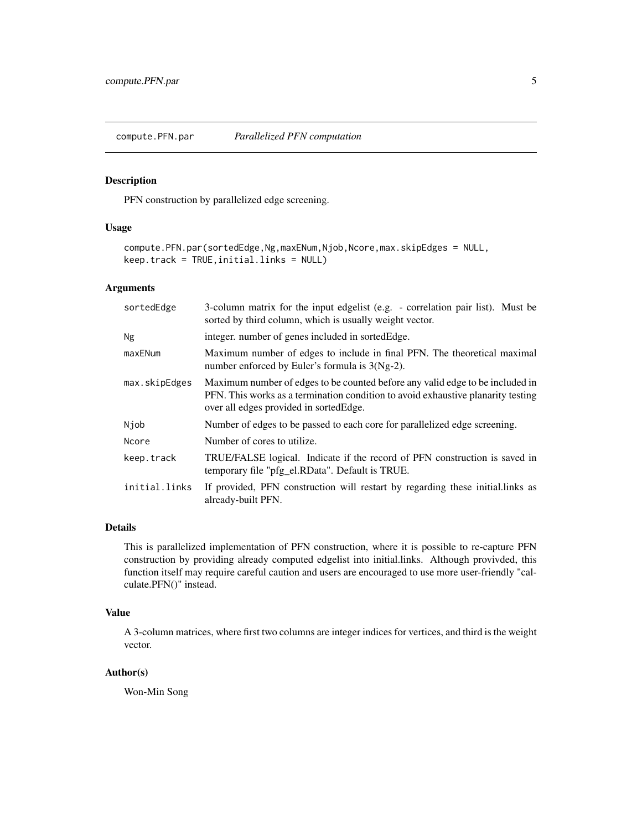<span id="page-4-0"></span>

# Description

PFN construction by parallelized edge screening.

#### Usage

```
compute.PFN.par(sortedEdge,Ng,maxENum,Njob,Ncore,max.skipEdges = NULL,
keep.track = TRUE,initial.links = NULL)
```
# Arguments

| sortedEdge    | 3-column matrix for the input edgelist (e.g. - correlation pair list). Must be<br>sorted by third column, which is usually weight vector.                                                                    |
|---------------|--------------------------------------------------------------------------------------------------------------------------------------------------------------------------------------------------------------|
| Ng            | integer, number of genes included in sorted Edge.                                                                                                                                                            |
| maxENum       | Maximum number of edges to include in final PFN. The theoretical maximal<br>number enforced by Euler's formula is $3(Ng-2)$ .                                                                                |
| max.skipEdges | Maximum number of edges to be counted before any valid edge to be included in<br>PFN. This works as a termination condition to avoid exhaustive planarity testing<br>over all edges provided in sorted Edge. |
| Njob          | Number of edges to be passed to each core for parallelized edge screening.                                                                                                                                   |
| Ncore         | Number of cores to utilize.                                                                                                                                                                                  |
| keep.track    | TRUE/FALSE logical. Indicate if the record of PFN construction is saved in<br>temporary file "pfg_el.RData". Default is TRUE.                                                                                |
| initial.links | If provided, PFN construction will restart by regarding these initial. links as<br>already-built PFN.                                                                                                        |

#### Details

This is parallelized implementation of PFN construction, where it is possible to re-capture PFN construction by providing already computed edgelist into initial.links. Although provivded, this function itself may require careful caution and users are encouraged to use more user-friendly "calculate.PFN()" instead.

#### Value

A 3-column matrices, where first two columns are integer indices for vertices, and third is the weight vector.

#### Author(s)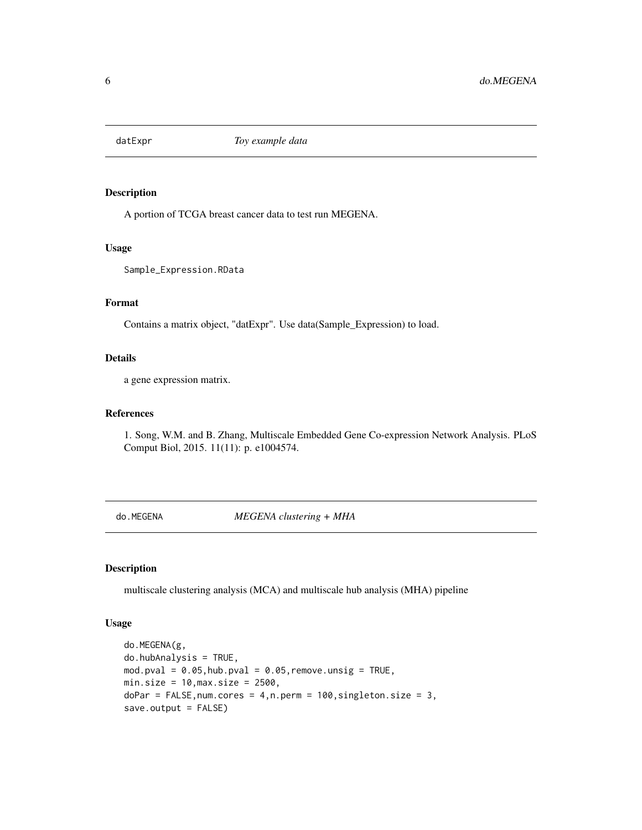<span id="page-5-0"></span>

### Description

A portion of TCGA breast cancer data to test run MEGENA.

#### Usage

Sample\_Expression.RData

# Format

Contains a matrix object, "datExpr". Use data(Sample\_Expression) to load.

# Details

a gene expression matrix.

# References

1. Song, W.M. and B. Zhang, Multiscale Embedded Gene Co-expression Network Analysis. PLoS Comput Biol, 2015. 11(11): p. e1004574.

do.MEGENA *MEGENA clustering + MHA*

#### Description

multiscale clustering analysis (MCA) and multiscale hub analysis (MHA) pipeline

# Usage

```
do.MEGENA(g,
do.hubAnalysis = TRUE,
mod.pval = 0.05, hub.pval = 0.05, remove. <math>unsig = TRUE</math>,min.size = 10, max.size = 2500,doPar = FALSE, num.cores = 4, n.perm = 100, singleton.size = 3,
save.output = FALSE)
```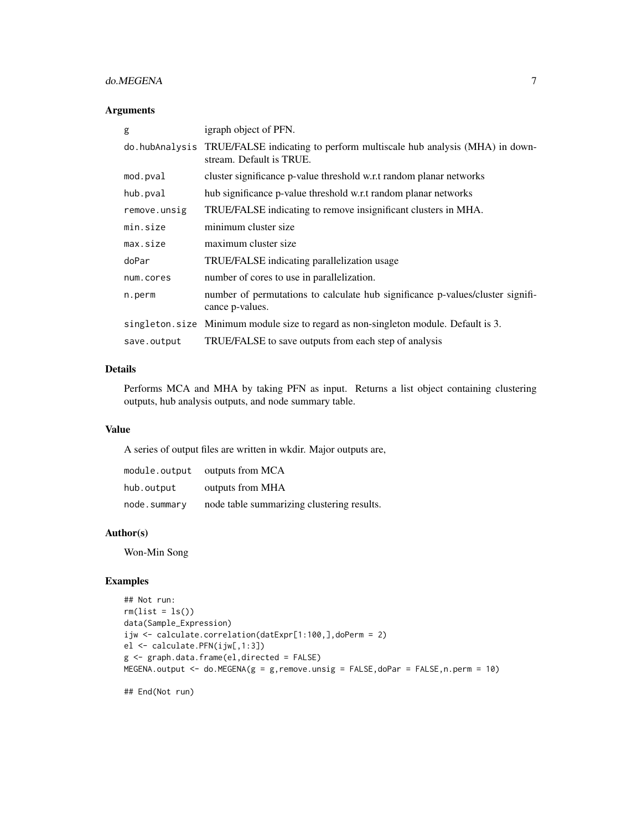# do.MEGENA 7

#### Arguments

| g            | igraph object of PFN.                                                                                               |
|--------------|---------------------------------------------------------------------------------------------------------------------|
|              | do. hubAnalysis TRUE/FALSE indicating to perform multiscale hub analysis (MHA) in down-<br>stream. Default is TRUE. |
| mod.pval     | cluster significance p-value threshold w.r.t random planar networks                                                 |
| hub.pval     | hub significance p-value threshold w.r.t random planar networks                                                     |
| remove.unsig | TRUE/FALSE indicating to remove insignificant clusters in MHA.                                                      |
| min.size     | minimum cluster size                                                                                                |
| max.size     | maximum cluster size                                                                                                |
| doPar        | TRUE/FALSE indicating parallelization usage                                                                         |
| num.cores    | number of cores to use in parallelization.                                                                          |
| n.perm       | number of permutations to calculate hub significance p-values/cluster signifi-<br>cance <i>p</i> -values.           |
|              | singleton.size Minimum module size to regard as non-singleton module. Default is 3.                                 |
| save.output  | TRUE/FALSE to save outputs from each step of analysis                                                               |

# Details

Performs MCA and MHA by taking PFN as input. Returns a list object containing clustering outputs, hub analysis outputs, and node summary table.

#### Value

A series of output files are written in wkdir. Major outputs are,

| module.output | outputs from MCA                           |
|---------------|--------------------------------------------|
| hub.output    | outputs from MHA                           |
| node.summary  | node table summarizing clustering results. |

# Author(s)

Won-Min Song

#### Examples

```
## Not run:
rm(list = ls())data(Sample_Expression)
ijw <- calculate.correlation(datExpr[1:100,],doPerm = 2)
el <- calculate.PFN(ijw[,1:3])
g <- graph.data.frame(el,directed = FALSE)
MEGENA.output <- do.MEGENA(g = g,remove.unsig = FALSE,doPar = FALSE,n.perm = 10)
```
## End(Not run)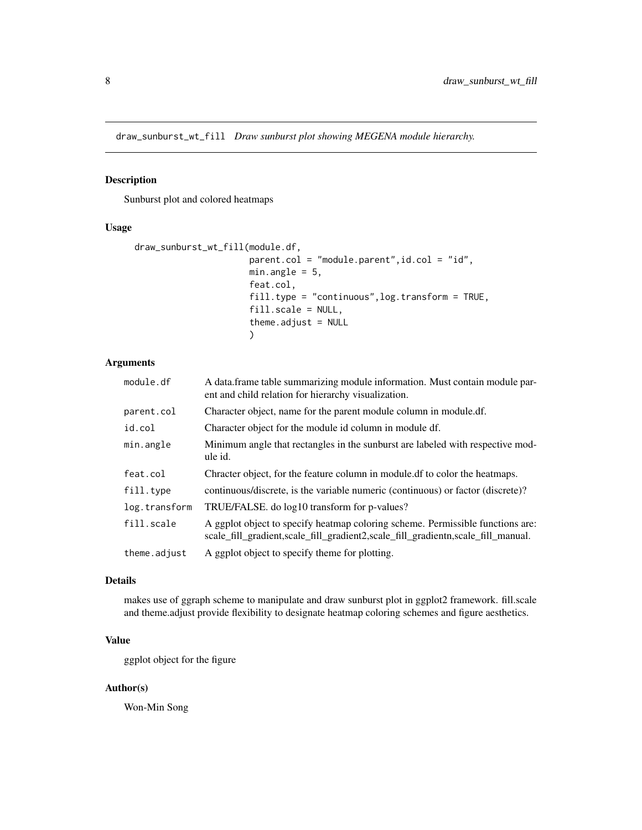<span id="page-7-0"></span>draw\_sunburst\_wt\_fill *Draw sunburst plot showing MEGENA module hierarchy.*

### Description

Sunburst plot and colored heatmaps

# Usage

```
draw_sunburst_wt_fill(module.df,
                      parent.col = "module.parent",id.col = "id",
                      min.angle = 5,
                      feat.col,
                      fill.type = "continuous",log.transform = TRUE,
                      fill.scale = NULL,
                      theme.adjust = NULL)
```
# Arguments

| module.df     | A data.frame table summarizing module information. Must contain module par-<br>ent and child relation for hierarchy visualization.                                 |
|---------------|--------------------------------------------------------------------------------------------------------------------------------------------------------------------|
| parent.col    | Character object, name for the parent module column in module.df.                                                                                                  |
| id.col        | Character object for the module id column in module df.                                                                                                            |
| min.angle     | Minimum angle that rectangles in the sunburst are labeled with respective mod-<br>ule id.                                                                          |
| feat.col      | Chracter object, for the feature column in module. If to color the heatmaps.                                                                                       |
| fill.type     | continuous/discrete, is the variable numeric (continuous) or factor (discrete)?                                                                                    |
| log.transform | TRUE/FALSE. do log10 transform for p-values?                                                                                                                       |
| fill.scale    | A ggplot object to specify heatmap coloring scheme. Permissible functions are:<br>scale_fill_gradient,scale_fill_gradient2,scale_fill_gradientn,scale_fill_manual. |
| theme.adjust  | A ggplot object to specify theme for plotting.                                                                                                                     |

#### Details

makes use of ggraph scheme to manipulate and draw sunburst plot in ggplot2 framework. fill.scale and theme.adjust provide flexibility to designate heatmap coloring schemes and figure aesthetics.

# Value

ggplot object for the figure

# Author(s)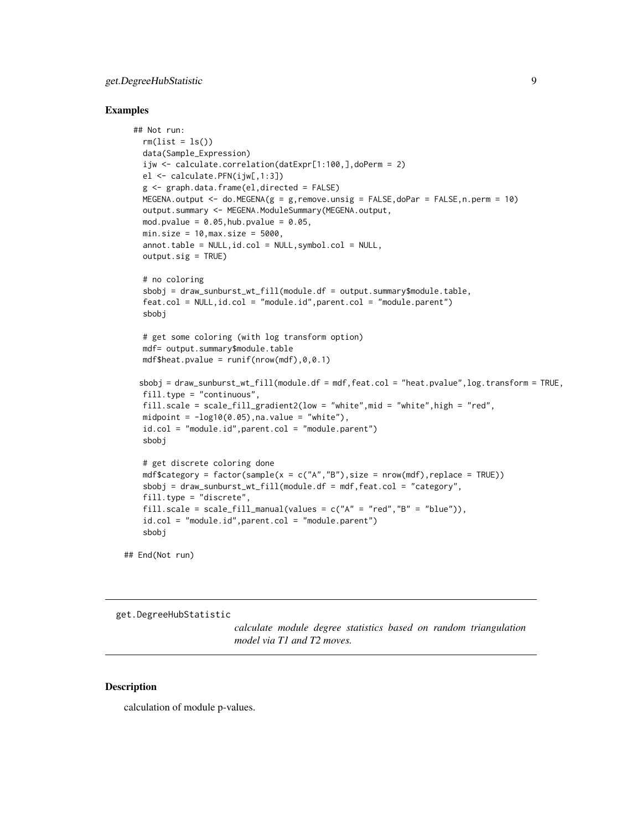# <span id="page-8-0"></span>get.DegreeHubStatistic 9

#### Examples

```
## Not run:
 rm(list = ls())data(Sample_Expression)
  ijw <- calculate.correlation(datExpr[1:100,],doPerm = 2)
  el <- calculate.PFN(ijw[,1:3])
  g <- graph.data.frame(el,directed = FALSE)
 MEGENA.output <- do.MEGENA(g = g,remove.unsig = FALSE,doPar = FALSE,n.perm = 10)
  output.summary <- MEGENA.ModuleSummary(MEGENA.output,
  mod.pvalue = 0.05, hub.pvalue = 0.05,
  min.size = 10, max.size = 5000,annot. table = NULL, id.col = NULL, symbol.col = NULL,output.sig = TRUE)
  # no coloring
  sbobj = draw_sunburst_wt_fill(module.df = output.summary$module.table,
  feat.col = NULL,id.col = "module.id",parent.col = "module.parent")
  sbobj
  # get some coloring (with log transform option)
  mdf= output.summary$module.table
  mdf$heat.pvalue = runif(nrow(mdf), 0, 0.1)sbobj = draw_sunburst_wt_fill(module.df = mdf,feat.col = "heat.pvalue",log.transform = TRUE,
  fill.type = "continuous",
  fill.scale = scale_fill_gradient2(low = "white",mid = "white",high = "red",
  midpoint = -log10(0.05), na.value = "white"),
  id.col = "module.id",parent.col = "module.parent")
  sbobj
  # get discrete coloring done
  mdf$category = factor(sample(x = c("A", "B"), size = nrow(mdf), replace = TRUE))
  sbobj = draw_sunburst_wt_fill(module.df = mdf,feat.col = "category",
  fill.type = "discrete",
  fill.scale = scale_fill_manual(values = c("A" = "red", "B" = "blue")),
  id.col = "module.id",parent.col = "module.parent")
  sbobj
```
## End(Not run)

get.DegreeHubStatistic

*calculate module degree statistics based on random triangulation model via T1 and T2 moves.*

# Description

calculation of module p-values.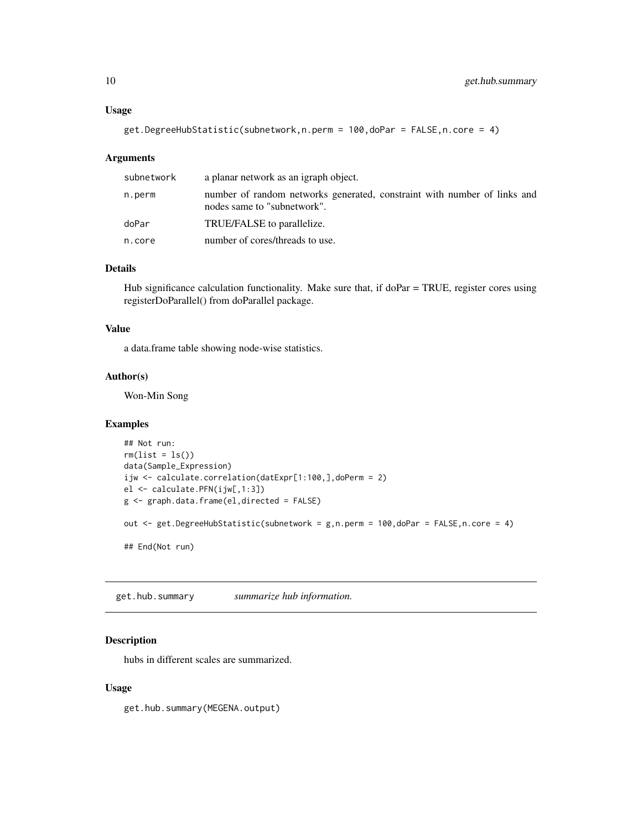#### <span id="page-9-0"></span>Usage

get.DegreeHubStatistic(subnetwork,n.perm = 100,doPar = FALSE,n.core = 4)

#### Arguments

| subnetwork | a planar network as an igraph object.                                                                   |
|------------|---------------------------------------------------------------------------------------------------------|
| n.perm     | number of random networks generated, constraint with number of links and<br>nodes same to "subnetwork". |
| doPar      | TRUE/FALSE to parallelize.                                                                              |
| n.core     | number of cores/threads to use.                                                                         |

#### Details

Hub significance calculation functionality. Make sure that, if doPar = TRUE, register cores using registerDoParallel() from doParallel package.

#### Value

a data.frame table showing node-wise statistics.

#### Author(s)

Won-Min Song

#### Examples

```
## Not run:
rm(list = ls())data(Sample_Expression)
ijw <- calculate.correlation(datExpr[1:100,],doPerm = 2)
el <- calculate.PFN(ijw[,1:3])
g <- graph.data.frame(el,directed = FALSE)
out <- get.DegreeHubStatistic(subnetwork = g,n.perm = 100,doPar = FALSE,n.core = 4)
## End(Not run)
```
get.hub.summary *summarize hub information.*

#### Description

hubs in different scales are summarized.

#### Usage

get.hub.summary(MEGENA.output)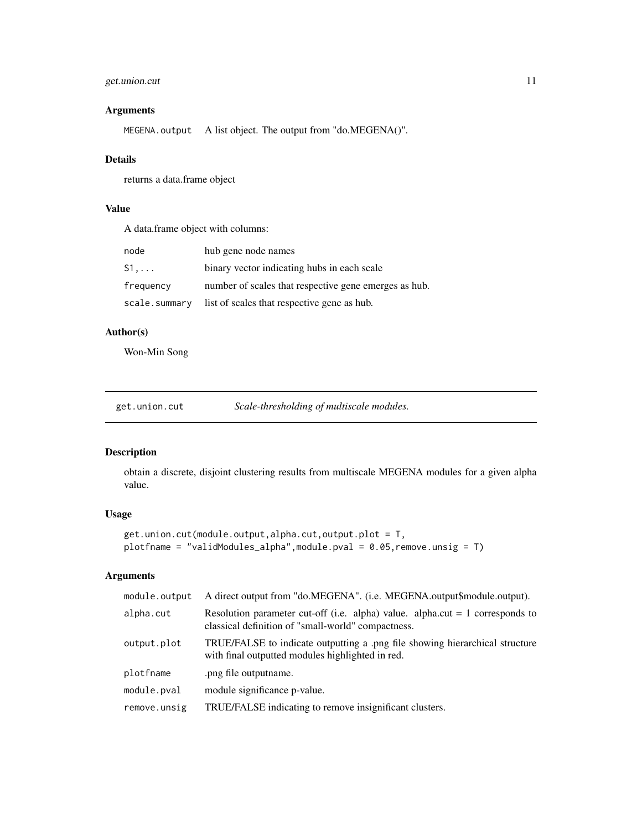# <span id="page-10-0"></span>get.union.cut 11

# Arguments

MEGENA.output A list object. The output from "do.MEGENA()".

# Details

returns a data.frame object

# Value

A data.frame object with columns:

| node          | hub gene node names                                   |
|---------------|-------------------------------------------------------|
| $S1$          | binary vector indicating hubs in each scale           |
| frequency     | number of scales that respective gene emerges as hub. |
| scale.summary | list of scales that respective gene as hub.           |

# Author(s)

Won-Min Song

| get.union.cut | Scale-thresholding of multiscale modules. |
|---------------|-------------------------------------------|
|               |                                           |

# Description

obtain a discrete, disjoint clustering results from multiscale MEGENA modules for a given alpha value.

# Usage

```
get.union.cut(module.output,alpha.cut,output.plot = T,
plotfname = "validModules_alpha",module.pval = 0.05,remove.unsig = T)
```
# Arguments

| module.output | A direct output from "do.MEGENA". (i.e. MEGENA.output\$module.output).                                                                |
|---------------|---------------------------------------------------------------------------------------------------------------------------------------|
| alpha.cut     | Resolution parameter cut-off (i.e. alpha) value. alpha.cut $= 1$ corresponds to<br>classical definition of "small-world" compactness. |
| output.plot   | TRUE/FALSE to indicate outputting a .png file showing hierarchical structure<br>with final outputted modules highlighted in red.      |
| plotfname     | .png file output name.                                                                                                                |
| module.pval   | module significance p-value.                                                                                                          |
| remove.unsig  | TRUE/FALSE indicating to remove insignificant clusters.                                                                               |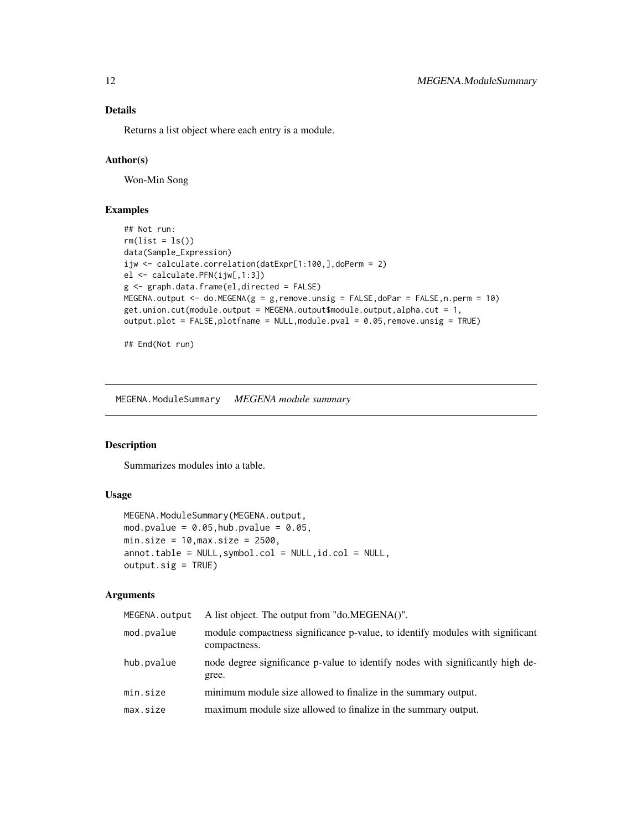#### Details

Returns a list object where each entry is a module.

#### Author(s)

Won-Min Song

#### Examples

```
## Not run:
rm(list = ls())data(Sample_Expression)
ijw <- calculate.correlation(datExpr[1:100,],doPerm = 2)
el <- calculate.PFN(ijw[,1:3])
g <- graph.data.frame(el,directed = FALSE)
MEGENA.output \leq - do.MEGENA(g = g, remove.unsig = FALSE, doPar = FALSE, n.perm = 10)
get.union.cut(module.output = MEGENA.output$module.output,alpha.cut = 1,
output.plot = FALSE,plotfname = NULL,module.pval = 0.05,remove.unsig = TRUE)
```
## End(Not run)

MEGENA.ModuleSummary *MEGENA module summary*

#### Description

Summarizes modules into a table.

# Usage

```
MEGENA.ModuleSummary(MEGENA.output,
mod.pvalue = 0.05, hub.pvalue = 0.05,
min.size = 10, \text{max.size} = 2500,annot.table = NULL,symbol.col = NULL,id.col = NULL,
output.size = TRUE)
```
#### Arguments

| MEGENA.output | A list object. The output from "do.MEGENA()".                                                 |
|---------------|-----------------------------------------------------------------------------------------------|
| mod.pvalue    | module compactness significance p-value, to identify modules with significant<br>compactness. |
| hub.pvalue    | node degree significance p-value to identify nodes with significantly high de-<br>gree.       |
| min.size      | minimum module size allowed to finalize in the summary output.                                |
| max.size      | maximum module size allowed to finalize in the summary output.                                |

<span id="page-11-0"></span>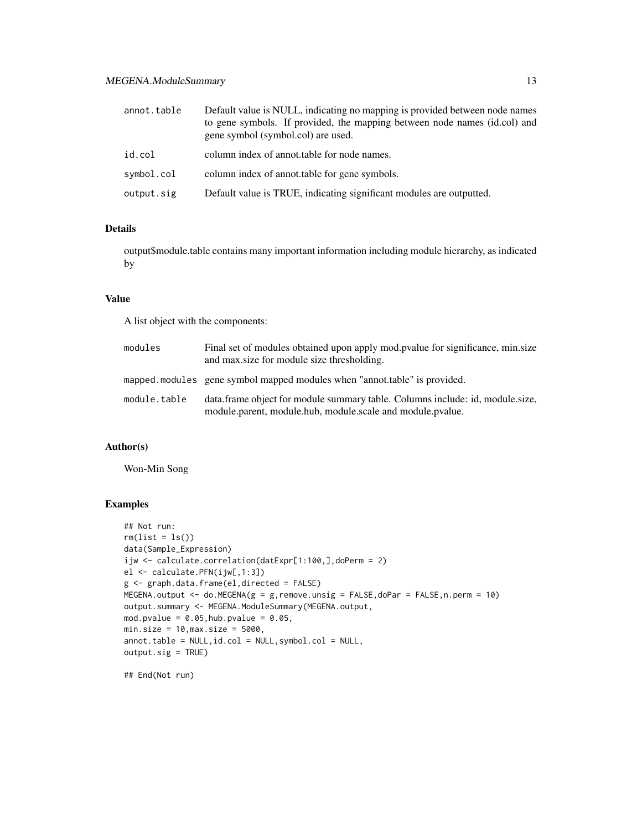| annot.table | Default value is NULL, indicating no mapping is provided between node names<br>to gene symbols. If provided, the mapping between node names (id.col) and<br>gene symbol (symbol.col) are used. |
|-------------|------------------------------------------------------------------------------------------------------------------------------------------------------------------------------------------------|
| id.col      | column index of annot table for node names.                                                                                                                                                    |
| symbol.col  | column index of annot table for gene symbols.                                                                                                                                                  |
| output.sig  | Default value is TRUE, indicating significant modules are outputted.                                                                                                                           |

# Details

output\$module.table contains many important information including module hierarchy, as indicated by

#### Value

A list object with the components:

| modules      | Final set of modules obtained upon apply mod.pvalue for significance, min.size<br>and max size for module size thresholding.                |
|--------------|---------------------------------------------------------------------------------------------------------------------------------------------|
|              | mapped modules gene symbol mapped modules when "annot table" is provided.                                                                   |
| module.table | data.frame object for module summary table. Columns include: id, module.size,<br>module.parent, module.hub, module.scale and module.pvalue. |

# Author(s)

Won-Min Song

# Examples

```
## Not run:
rm(list = ls())data(Sample_Expression)
ijw <- calculate.correlation(datExpr[1:100,],doPerm = 2)
el <- calculate.PFN(ijw[,1:3])
g <- graph.data.frame(el,directed = FALSE)
MEGENA.output <- do.MEGENA(g = g,remove.unsig = FALSE,doPar = FALSE,n.perm = 10)
output.summary <- MEGENA.ModuleSummary(MEGENA.output,
mod.pvalue = 0.05, hub.pvalue = 0.05,
min.size = 10, max.size = 5000,annot.table = NULL,id.col = NULL,symbol.col = NULL,
output.sig = TRUE)
```
## End(Not run)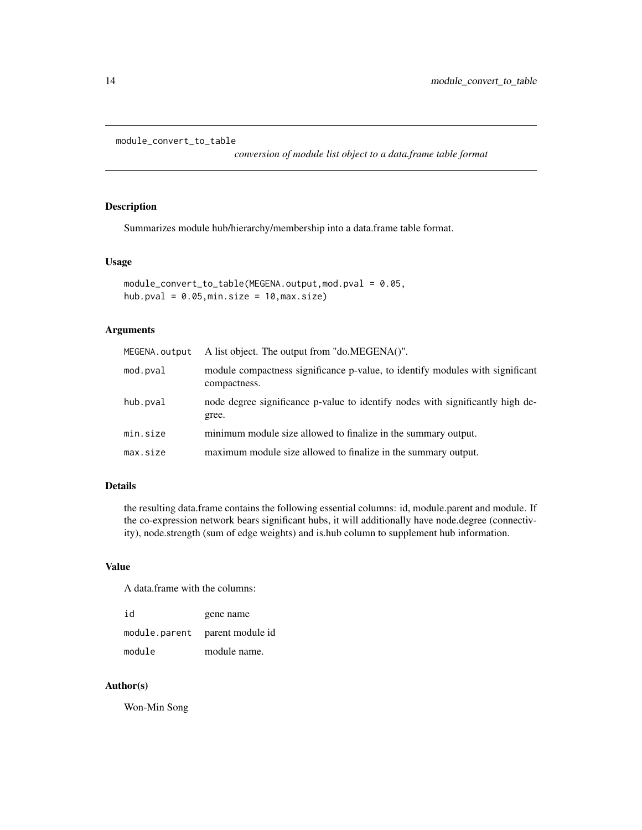```
module_convert_to_table
```
*conversion of module list object to a data.frame table format*

# Description

Summarizes module hub/hierarchy/membership into a data.frame table format.

#### Usage

```
module_convert_to_table(MEGENA.output,mod.pval = 0.05,
hub.pval = 0.05, min.size = 10, max.size)
```
# Arguments

| MEGENA.output | A list object. The output from "do.MEGENA()".                                                 |
|---------------|-----------------------------------------------------------------------------------------------|
| mod.pval      | module compactness significance p-value, to identify modules with significant<br>compactness. |
| hub.pval      | node degree significance p-value to identify nodes with significantly high de-<br>gree.       |
| min.size      | minimum module size allowed to finalize in the summary output.                                |
| max.size      | maximum module size allowed to finalize in the summary output.                                |

#### Details

the resulting data.frame contains the following essential columns: id, module.parent and module. If the co-expression network bears significant hubs, it will additionally have node.degree (connectivity), node.strength (sum of edge weights) and is.hub column to supplement hub information.

#### Value

A data.frame with the columns:

| id            | gene name        |
|---------------|------------------|
| module.parent | parent module id |
| module        | module name.     |

# Author(s)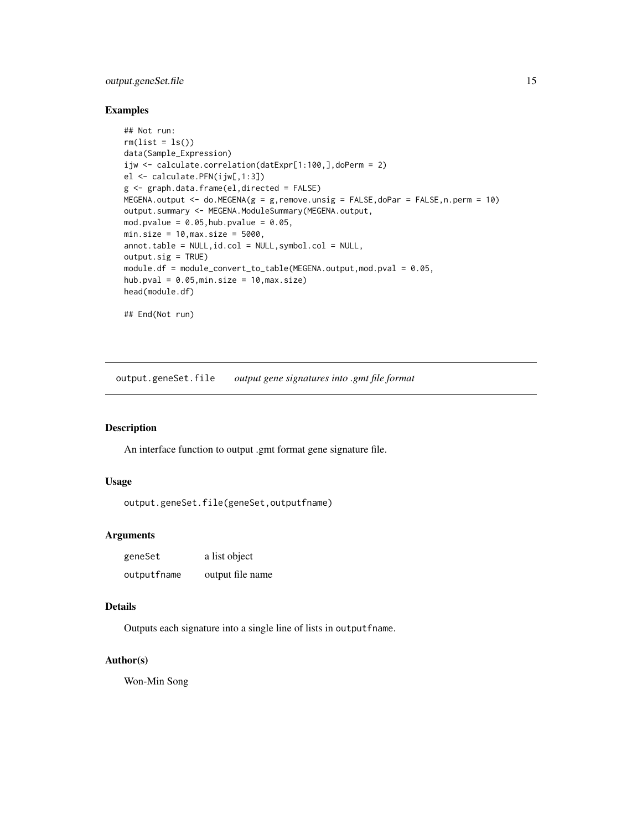# <span id="page-14-0"></span>output.geneSet.file 15

#### Examples

```
## Not run:
rm(list = ls())data(Sample_Expression)
ijw <- calculate.correlation(datExpr[1:100,],doPerm = 2)
el <- calculate.PFN(ijw[,1:3])
g <- graph.data.frame(el,directed = FALSE)
MEGENA.output <- do.MEGENA(g = g, remove.unsig = FALSE, doPar = FALSE, n.perm = 10)
output.summary <- MEGENA.ModuleSummary(MEGENA.output,
mod.pvalue = 0.05, hub.pvalue = 0.05,
min.size = 10, max.size = 5000,annot.table = NULL,id.col = NULL,symbol.col = NULL,
output.sig = TRUE)
module.df = module_convert_to_table(MEGENA.output,mod.pval = 0.05,
hub.pval = 0.05,min.size = 10,max.size)
head(module.df)
## End(Not run)
```
output.geneSet.file *output gene signatures into .gmt file format*

# Description

An interface function to output .gmt format gene signature file.

#### Usage

output.geneSet.file(geneSet,outputfname)

# Arguments

| geneSet     | a list object    |
|-------------|------------------|
| outputfname | output file name |

#### Details

Outputs each signature into a single line of lists in outputfname.

# Author(s)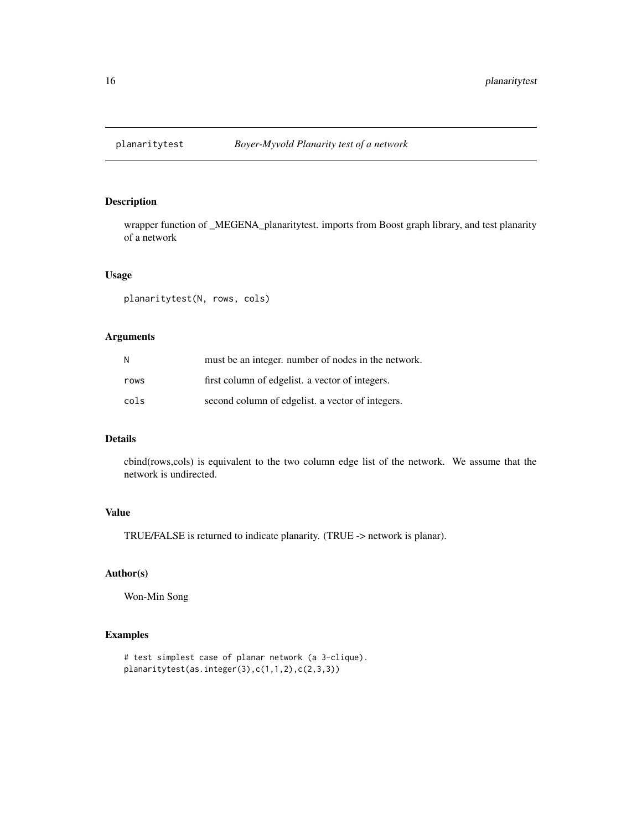<span id="page-15-0"></span>

# Description

wrapper function of \_MEGENA\_planaritytest. imports from Boost graph library, and test planarity of a network

#### Usage

planaritytest(N, rows, cols)

#### Arguments

| N    | must be an integer, number of nodes in the network. |
|------|-----------------------------------------------------|
| rows | first column of edgelist. a vector of integers.     |
| cols | second column of edgelist. a vector of integers.    |

# Details

cbind(rows,cols) is equivalent to the two column edge list of the network. We assume that the network is undirected.

#### Value

TRUE/FALSE is returned to indicate planarity. (TRUE -> network is planar).

# Author(s)

Won-Min Song

# Examples

```
# test simplest case of planar network (a 3-clique).
planaritytest(as.integer(3),c(1,1,2),c(2,3,3))
```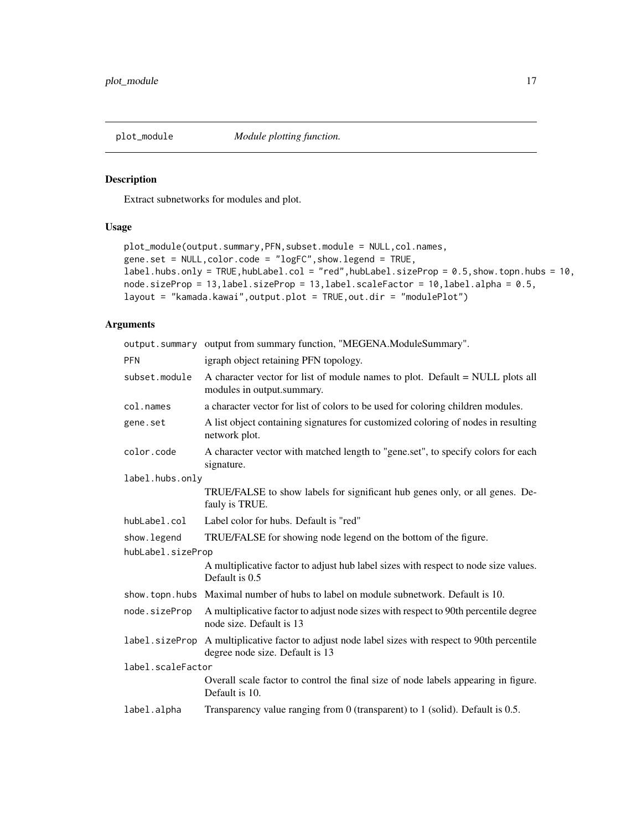<span id="page-16-0"></span>plot\_module *Module plotting function.*

# Description

Extract subnetworks for modules and plot.

# Usage

```
plot_module(output.summary,PFN,subset.module = NULL,col.names,
gene.set = NULL,color.code = "logFC",show.legend = TRUE,
label.hubs.only = TRUE,hubLabel.col = "red",hubLabel.sizeProp = 0.5,show.topn.hubs = 10,
node.sizeProp = 13,label.sizeProp = 13,label.scaleFactor = 10,label.alpha = 0.5,
layout = "kamada.kawai",output.plot = TRUE,out.dir = "modulePlot")
```
# Arguments

|                   | output.summary output from summary function, "MEGENA.ModuleSummary".                                                                 |  |
|-------------------|--------------------------------------------------------------------------------------------------------------------------------------|--|
| <b>PFN</b>        | igraph object retaining PFN topology.                                                                                                |  |
| subset.module     | A character vector for list of module names to plot. Default = NULL plots all<br>modules in output.summary.                          |  |
| col.names         | a character vector for list of colors to be used for coloring children modules.                                                      |  |
| gene.set          | A list object containing signatures for customized coloring of nodes in resulting<br>network plot.                                   |  |
| color.code        | A character vector with matched length to "gene.set", to specify colors for each<br>signature.                                       |  |
| label.hubs.only   |                                                                                                                                      |  |
|                   | TRUE/FALSE to show labels for significant hub genes only, or all genes. De-<br>fauly is TRUE.                                        |  |
| hubLabel.col      | Label color for hubs. Default is "red"                                                                                               |  |
| show. legend      | TRUE/FALSE for showing node legend on the bottom of the figure.                                                                      |  |
| hubLabel.sizeProp |                                                                                                                                      |  |
|                   | A multiplicative factor to adjust hub label sizes with respect to node size values.<br>Default is 0.5                                |  |
|                   | show. topn. hubs Maximal number of hubs to label on module subnetwork. Default is 10.                                                |  |
| node.sizeProp     | A multiplicative factor to adjust node sizes with respect to 90th percentile degree<br>node size. Default is 13                      |  |
|                   | label.sizeProp A multiplicative factor to adjust node label sizes with respect to 90th percentile<br>degree node size. Default is 13 |  |
| label.scaleFactor |                                                                                                                                      |  |
|                   | Overall scale factor to control the final size of node labels appearing in figure.<br>Default is 10.                                 |  |
| label.alpha       | Transparency value ranging from $0$ (transparent) to 1 (solid). Default is $0.5$ .                                                   |  |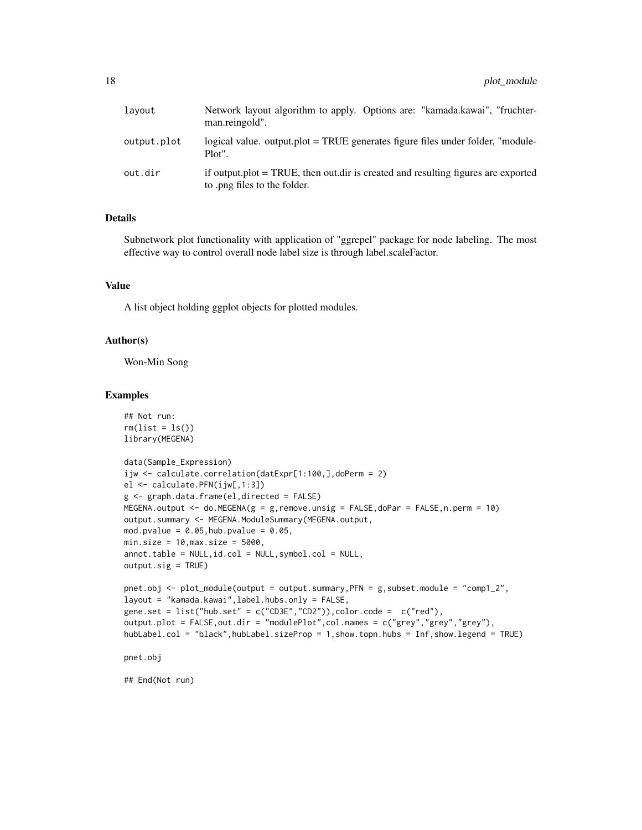| lavout      | Network layout algorithm to apply. Options are: "kamada.kawai", "fruchter-<br>man.reingold".                         |
|-------------|----------------------------------------------------------------------------------------------------------------------|
| output.plot | logical value, output, plot = TRUE generates figure files under folder, "module-<br>Plot".                           |
| out.dir     | if output, plot $=$ TRUE, then out, dir is created and resulting figures are exported<br>to png files to the folder. |

# Details

Subnetwork plot functionality with application of "ggrepel" package for node labeling. The most effective way to control overall node label size is through label.scaleFactor.

#### Value

A list object holding ggplot objects for plotted modules.

#### Author(s)

Won-Min Song

#### Examples

```
## Not run:
rm(list = ls())library(MEGENA)
data(Sample_Expression)
ijw <- calculate.correlation(datExpr[1:100,],doPerm = 2)
el <- calculate.PFN(ijw[,1:3])
g <- graph.data.frame(el,directed = FALSE)
MEGENA.output \leq - do.MEGENA(g = g, remove.unsig = FALSE, doPar = FALSE, n.perm = 10)
output.summary <- MEGENA.ModuleSummary(MEGENA.output,
mod.pvalue = 0.05, hub.pvalue = 0.05,
min.size = 10, \text{max.size} = 5000,annot.table = NULL,id.col = NULL,symbol.col = NULL,
output.sig = TRUE)
pnet.obj <- plot_module(output = output.summary,PFN = g,subset.module = "comp1_2",
layout = "kamada.kawai",label.hubs.only = FALSE,
gene.set = list("hub.set" = c("CD3E","CD2")),color.code = c("red"),
output.plot = FALSE,out.dir = "modulePlot",col.names = c("grey","grey","grey"),
hubLabel.col = "black",hubLabel.sizeProp = 1,show.topn.hubs = Inf,show.legend = TRUE)
```
pnet.obj

## End(Not run)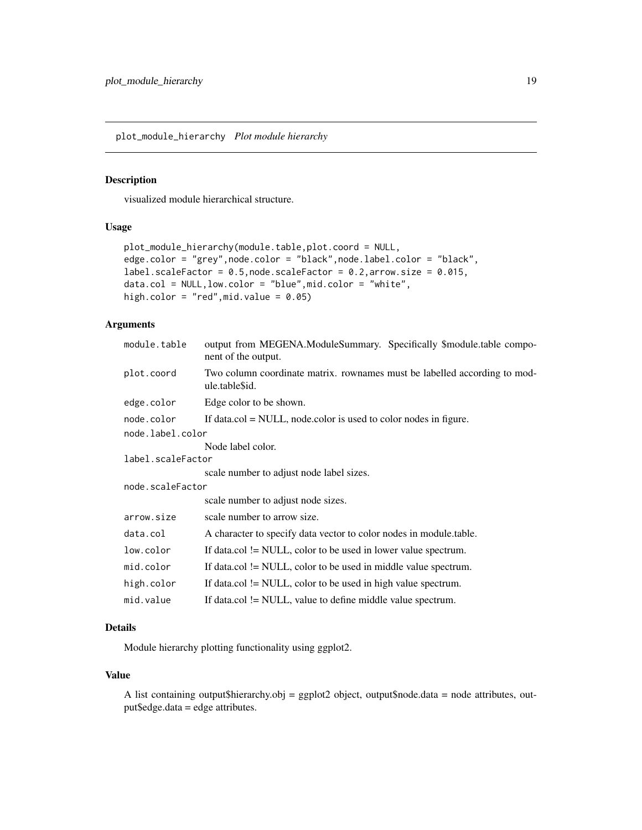<span id="page-18-0"></span>plot\_module\_hierarchy *Plot module hierarchy*

### Description

visualized module hierarchical structure.

#### Usage

```
plot_module_hierarchy(module.table,plot.coord = NULL,
edge.color = "grey",node.color = "black",node.label.color = "black",
label.scaleFactor = 0.5, node.scaleFactor = 0.2, arrow.size = 0.015,
data.col = NULL,low.color = "blue",mid.color = "white",
high.color = "red", mid.value = 0.05)
```
# Arguments

| module.table      | output from MEGENA.ModuleSummary. Specifically \$module.table compo-<br>nent of the output. |  |
|-------------------|---------------------------------------------------------------------------------------------|--|
| plot.coord        | Two column coordinate matrix. rownames must be labelled according to mod-<br>ule.table\$id. |  |
| edge.color        | Edge color to be shown.                                                                     |  |
| node.color        | If data.col $=$ NULL, node.color is used to color nodes in figure.                          |  |
| node.label.color  |                                                                                             |  |
|                   | Node label color.                                                                           |  |
| label.scaleFactor |                                                                                             |  |
|                   | scale number to adjust node label sizes.                                                    |  |
| node.scaleFactor  |                                                                                             |  |
|                   | scale number to adjust node sizes.                                                          |  |
| arrow.size        | scale number to arrow size.                                                                 |  |
| data.col          | A character to specify data vector to color nodes in module table.                          |  |
| low.color         | If data.col $!=$ NULL, color to be used in lower value spectrum.                            |  |
| mid.color         | If data.col != NULL, color to be used in middle value spectrum.                             |  |
| high.color        | If data.col $!=$ NULL, color to be used in high value spectrum.                             |  |
| mid.value         | If data.col != NULL, value to define middle value spectrum.                                 |  |

# Details

Module hierarchy plotting functionality using ggplot2.

# Value

A list containing output\$hierarchy.obj = ggplot2 object, output\$node.data = node attributes, output\$edge.data = edge attributes.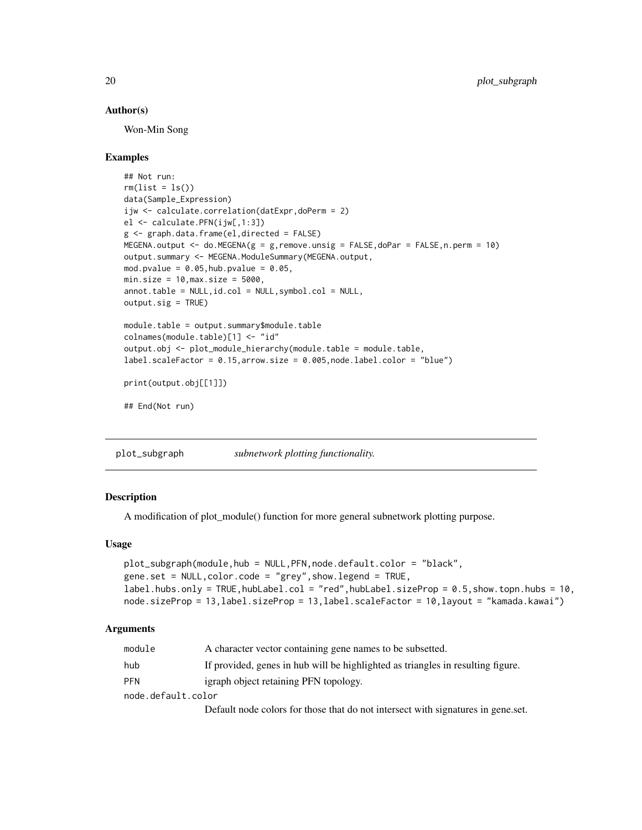#### <span id="page-19-0"></span>Author(s)

Won-Min Song

#### Examples

```
## Not run:
rm(list = ls())data(Sample_Expression)
ijw <- calculate.correlation(datExpr,doPerm = 2)
el <- calculate.PFN(ijw[,1:3])
g <- graph.data.frame(el,directed = FALSE)
MEGENA.output \leq - do.MEGENA(g = g, remove.unsig = FALSE, doPar = FALSE, n.perm = 10)
output.summary <- MEGENA.ModuleSummary(MEGENA.output,
mod.pvalue = 0.05, hub.pvalue = 0.05,
min.size = 10, max.size = 5000,annot.table = NULL,id.col = NULL,symbol.col = NULL,
output.sig = TRUE)
module.table = output.summary$module.table
colnames(module.table)[1] <- "id"
output.obj <- plot_module_hierarchy(module.table = module.table,
label.scaleFactor = 0.15,arrow.size = 0.005,node.label.color = "blue")
print(output.obj[[1]])
```

```
## End(Not run)
```
plot\_subgraph *subnetwork plotting functionality.*

# **Description**

A modification of plot\_module() function for more general subnetwork plotting purpose.

#### Usage

```
plot_subgraph(module,hub = NULL,PFN,node.default.color = "black",
gene.set = NULL,color.code = "grey",show.legend = TRUE,
label.hubs.only = TRUE,hubLabel.col = "red",hubLabel.sizeProp = 0.5,show.topn.hubs = 10,
node.sizeProp = 13,label.sizeProp = 13,label.scaleFactor = 10,layout = "kamada.kawai")
```
#### Arguments

| module             | A character vector containing gene names to be subsetted.                       |
|--------------------|---------------------------------------------------------------------------------|
| hub                | If provided, genes in hub will be highlighted as triangles in resulting figure. |
| <b>PFN</b>         | igraph object retaining PFN topology.                                           |
| node.default.color |                                                                                 |
|                    |                                                                                 |

Default node colors for those that do not intersect with signatures in gene.set.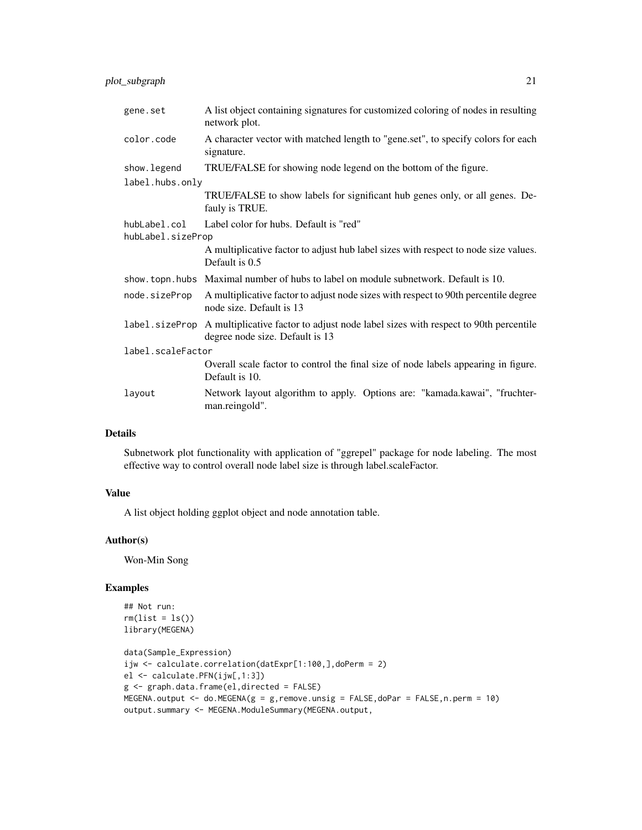| gene.set                          | A list object containing signatures for customized coloring of nodes in resulting<br>network plot.                    |
|-----------------------------------|-----------------------------------------------------------------------------------------------------------------------|
| color.code                        | A character vector with matched length to "gene.set", to specify colors for each<br>signature.                        |
| show.legend                       | TRUE/FALSE for showing node legend on the bottom of the figure.                                                       |
| label.hubs.only                   |                                                                                                                       |
|                                   | TRUE/FALSE to show labels for significant hub genes only, or all genes. De-<br>fauly is TRUE.                         |
| hubLabel.col<br>hubLabel.sizeProp | Label color for hubs. Default is "red"                                                                                |
|                                   | A multiplicative factor to adjust hub label sizes with respect to node size values.<br>Default is 0.5                 |
|                                   | show. topn. hubs Maximal number of hubs to label on module subnetwork. Default is 10.                                 |
| node.sizeProp                     | A multiplicative factor to adjust node sizes with respect to 90th percentile degree<br>node size. Default is 13       |
| label.sizeProp                    | A multiplicative factor to adjust node label sizes with respect to 90th percentile<br>degree node size. Default is 13 |
| label.scaleFactor                 |                                                                                                                       |
|                                   | Overall scale factor to control the final size of node labels appearing in figure.<br>Default is 10.                  |
| layout                            | Network layout algorithm to apply. Options are: "kamada.kawai", "fruchter-<br>man.reingold".                          |

# Details

Subnetwork plot functionality with application of "ggrepel" package for node labeling. The most effective way to control overall node label size is through label.scaleFactor.

# Value

A list object holding ggplot object and node annotation table.

# Author(s)

Won-Min Song

# Examples

```
## Not run:
rm(list = ls())library(MEGENA)
```

```
data(Sample_Expression)
ijw <- calculate.correlation(datExpr[1:100,],doPerm = 2)
el <- calculate.PFN(ijw[,1:3])
g <- graph.data.frame(el,directed = FALSE)
MEGENA.output <- do.MEGENA(g = g,remove.unsig = FALSE,doPar = FALSE,n.perm = 10)
output.summary <- MEGENA.ModuleSummary(MEGENA.output,
```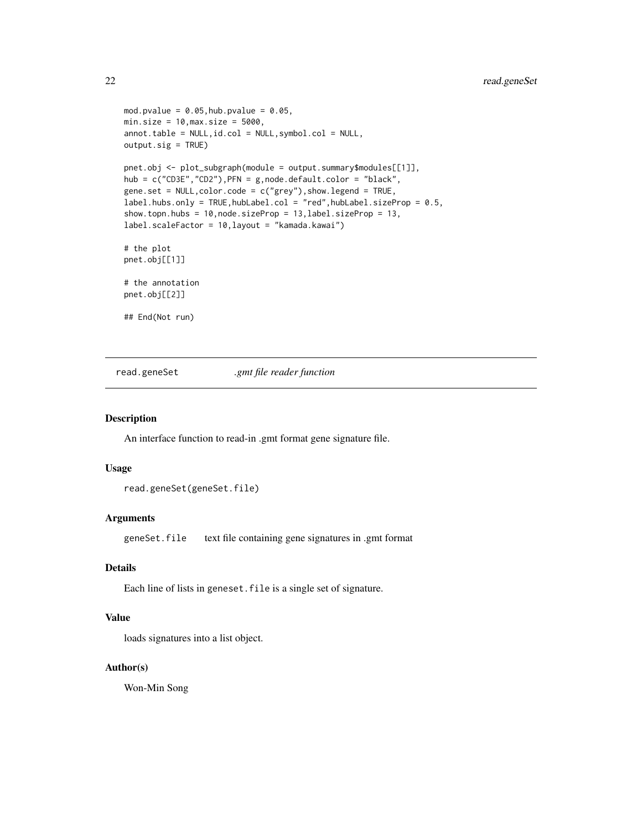```
mod.pvalue = 0.05, hub.pvalue = 0.05,
min.size = 10, \text{max.size} = 5000,annot.table = NULL,id.col = NULL,symbol.col = NULL,
output.sig = TRUE)
pnet.obj <- plot_subgraph(module = output.summary$modules[[1]],
hub = c("CDEF", "CD2"), PFN = g, node.default.color = "black",
gene.set = NULL,color.code = c("grey"),show.legend = TRUE,
label.hubs.only = TRUE,hubLabel.col = "red",hubLabel.sizeProp = 0.5,
show.topn.hubs = 10,node.sizeProp = 13,label.sizeProp = 13,
label.scaleFactor = 10,layout = "kamada.kawai")
# the plot
pnet.obj[[1]]
# the annotation
pnet.obj[[2]]
## End(Not run)
```
read.geneSet *.gmt file reader function*

#### Description

An interface function to read-in .gmt format gene signature file.

#### Usage

read.geneSet(geneSet.file)

#### Arguments

geneSet.file text file containing gene signatures in .gmt format

# Details

Each line of lists in geneset.file is a single set of signature.

# Value

loads signatures into a list object.

# Author(s)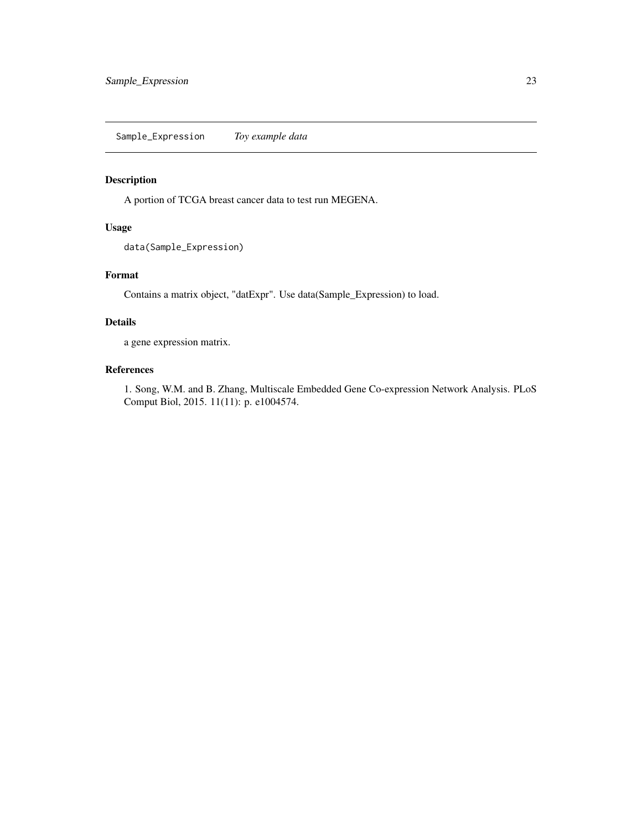<span id="page-22-0"></span>Sample\_Expression *Toy example data*

# Description

A portion of TCGA breast cancer data to test run MEGENA.

# Usage

data(Sample\_Expression)

# Format

Contains a matrix object, "datExpr". Use data(Sample\_Expression) to load.

#### Details

a gene expression matrix.

# References

1. Song, W.M. and B. Zhang, Multiscale Embedded Gene Co-expression Network Analysis. PLoS Comput Biol, 2015. 11(11): p. e1004574.